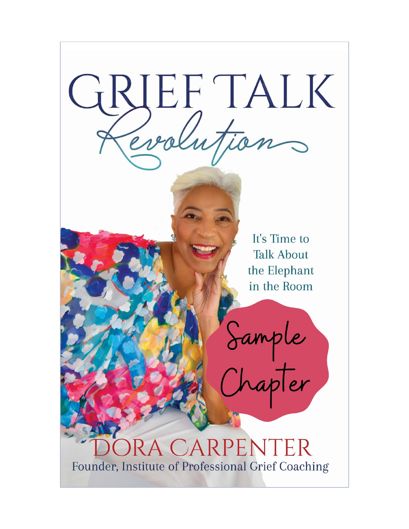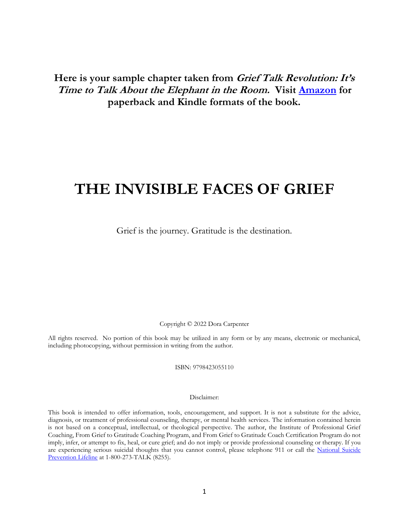**Here is your sample chapter taken from Grief Talk Revolution: It's Time to Talk About the Elephant in the Room. Visit [Amazon](https://amzn.to/3iTKJ2D) for paperback and Kindle formats of the book.**

# **THE INVISIBLE FACES OF GRIEF**

Grief is the journey. Gratitude is the destination.

Copyright © 2022 Dora Carpenter

All rights reserved. No portion of this book may be utilized in any form or by any means, electronic or mechanical, including photocopying, without permission in writing from the author.

ISBN: 9798423055110

#### Disclaimer:

This book is intended to offer information, tools, encouragement, and support. It is not a substitute for the advice, diagnosis, or treatment of professional counseling, therapy, or mental health services. The information contained herein is not based on a conceptual, intellectual, or theological perspective. The author, the Institute of Professional Grief Coaching, From Grief to Gratitude Coaching Program, and From Grief to Gratitude Coach Certification Program do not imply, infer, or attempt to fix, heal, or cure grief; and do not imply or provide professional counseling or therapy. If you are experiencing serious suicidal thoughts that you cannot control, please telephone 911 or call the [National](https://suicidepreventionlifeline.org/) Suicide [Prevention](https://suicidepreventionlifeline.org/) Lifeline at 1-800-273-TALK (8255).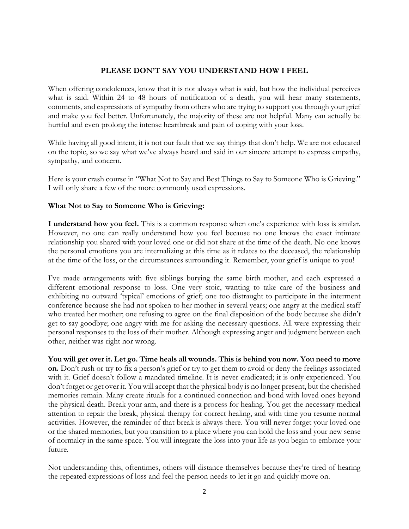#### **PLEASE DON'T SAY YOU UNDERSTAND HOW I FEEL**

When offering condolences, know that it is not always what is said, but how the individual perceives what is said. Within 24 to 48 hours of notification of a death, you will hear many statements, comments, and expressions of sympathy from others who are trying to support you through your grief and make you feel better. Unfortunately, the majority of these are not helpful. Many can actually be hurtful and even prolong the intense heartbreak and pain of coping with your loss.

While having all good intent, it is not our fault that we say things that don't help. We are not educated on the topic, so we say what we've always heard and said in our sincere attempt to express empathy, sympathy, and concern.

Here is your crash course in "What Not to Say and Best Things to Say to Someone Who is Grieving." I will only share a few of the more commonly used expressions.

#### **What Not to Say to Someone Who is Grieving:**

**I understand how you feel.** This is a common response when one's experience with loss is similar. However, no one can really understand how you feel because no one knows the exact intimate relationship you shared with your loved one or did not share at the time of the death. No one knows the personal emotions you are internalizing at this time as it relates to the deceased, the relationship at the time of the loss, or the circumstances surrounding it. Remember, your grief is unique to you!

I've made arrangements with five siblings burying the same birth mother, and each expressed a different emotional response to loss. One very stoic, wanting to take care of the business and exhibiting no outward 'typical' emotions of grief; one too distraught to participate in the interment conference because she had not spoken to her mother in several years; one angry at the medical staff who treated her mother; one refusing to agree on the final disposition of the body because she didn't get to say goodbye; one angry with me for asking the necessary questions. All were expressing their personal responses to the loss of their mother. Although expressing anger and judgment between each other, neither was right nor wrong.

**You will get over it. Let go. Time heals all wounds. This is behind you now. You need to move on.** Don't rush or try to fix a person's grief or try to get them to avoid or deny the feelings associated with it. Grief doesn't follow a mandated timeline. It is never eradicated; it is only experienced. You don't forget or get over it. You will accept that the physical body is no longer present, but the cherished memories remain. Many create rituals for a continued connection and bond with loved ones beyond the physical death. Break your arm, and there is a process for healing. You get the necessary medical attention to repair the break, physical therapy for correct healing, and with time you resume normal activities. However, the reminder of that break is always there. You will never forget your loved one or the shared memories, but you transition to a place where you can hold the loss and your new sense of normalcy in the same space. You will integrate the loss into your life as you begin to embrace your future.

Not understanding this, oftentimes, others will distance themselves because they're tired of hearing the repeated expressions of loss and feel the person needs to let it go and quickly move on.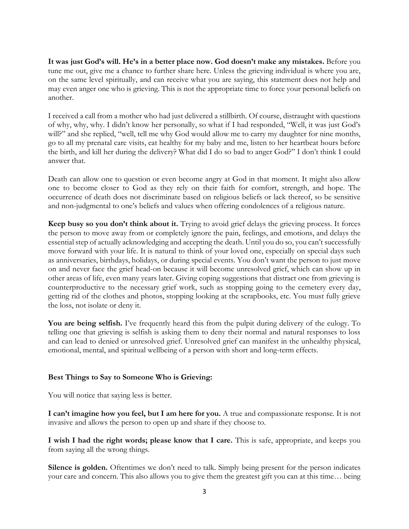**It was just God's will. He's in a better place now. God doesn't make any mistakes.** Before you tune me out, give me a chance to further share here. Unless the grieving individual is where you are, on the same level spiritually, and can receive what you are saying, this statement does not help and may even anger one who is grieving. This is not the appropriate time to force your personal beliefs on another.

I received a call from a mother who had just delivered a stillbirth. Of course, distraught with questions of why, why, why. I didn't know her personally, so what if I had responded, "Well, it was just God's will?" and she replied, "well, tell me why God would allow me to carry my daughter for nine months, go to all my prenatal care visits, eat healthy for my baby and me, listen to her heartbeat hours before the birth, and kill her during the delivery? What did I do so bad to anger God?" I don't think I could answer that.

Death can allow one to question or even become angry at God in that moment. It might also allow one to become closer to God as they rely on their faith for comfort, strength, and hope. The occurrence of death does not discriminate based on religious beliefs or lack thereof, so be sensitive and non-judgmental to one's beliefs and values when offering condolences of a religious nature.

**Keep busy so you don't think about it.** Trying to avoid grief delays the grieving process. It forces the person to move away from or completely ignore the pain, feelings, and emotions, and delays the essential step of actually acknowledging and accepting the death. Until you do so, you can't successfully move forward with your life. It is natural to think of your loved one, especially on special days such as anniversaries, birthdays, holidays, or during special events. You don't want the person to just move on and never face the grief head-on because it will become unresolved grief, which can show up in other areas of life, even many years later. Giving coping suggestions that distract one from grieving is counterproductive to the necessary grief work, such as stopping going to the cemetery every day, getting rid of the clothes and photos, stopping looking at the scrapbooks, etc. You must fully grieve the loss, not isolate or deny it.

**You are being selfish.** I've frequently heard this from the pulpit during delivery of the eulogy. To telling one that grieving is selfish is asking them to deny their normal and natural responses to loss and can lead to denied or unresolved grief. Unresolved grief can manifest in the unhealthy physical, emotional, mental, and spiritual wellbeing of a person with short and long-term effects.

#### **Best Things to Say to Someone Who is Grieving:**

You will notice that saying less is better.

**I can't imagine how you feel, but I am here for you.** A true and compassionate response. It is not invasive and allows the person to open up and share if they choose to.

**I wish I had the right words; please know that I care.** This is safe, appropriate, and keeps you from saying all the wrong things.

**Silence is golden.** Oftentimes we don't need to talk. Simply being present for the person indicates your care and concern. This also allows you to give them the greatest gift you can at this time… being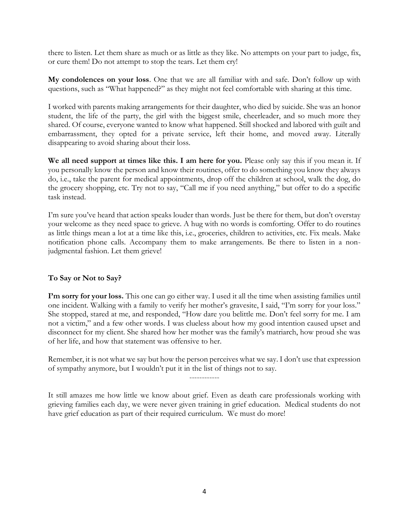there to listen. Let them share as much or as little as they like. No attempts on your part to judge, fix, or cure them! Do not attempt to stop the tears. Let them cry!

**My condolences on your loss**. One that we are all familiar with and safe. Don't follow up with questions, such as "What happened?" as they might not feel comfortable with sharing at this time.

I worked with parents making arrangements for their daughter, who died by suicide. She was an honor student, the life of the party, the girl with the biggest smile, cheerleader, and so much more they shared. Of course, everyone wanted to know what happened. Still shocked and labored with guilt and embarrassment, they opted for a private service, left their home, and moved away. Literally disappearing to avoid sharing about their loss.

**We all need support at times like this. I am here for you.** Please only say this if you mean it. If you personally know the person and know their routines, offer to do something you know they always do, i.e., take the parent for medical appointments, drop off the children at school, walk the dog, do the grocery shopping, etc. Try not to say, "Call me if you need anything," but offer to do a specific task instead.

I'm sure you've heard that action speaks louder than words. Just be there for them, but don't overstay your welcome as they need space to grieve. A hug with no words is comforting. Offer to do routines as little things mean a lot at a time like this, i.e., groceries, children to activities, etc. Fix meals. Make notification phone calls. Accompany them to make arrangements. Be there to listen in a nonjudgmental fashion. Let them grieve!

#### **To Say or Not to Say?**

**I'm sorry for your loss.** This one can go either way. I used it all the time when assisting families until one incident. Walking with a family to verify her mother's gravesite, I said, "I'm sorry for your loss." She stopped, stared at me, and responded, "How dare you belittle me. Don't feel sorry for me. I am not a victim," and a few other words. I was clueless about how my good intention caused upset and disconnect for my client. She shared how her mother was the family's matriarch, how proud she was of her life, and how that statement was offensive to her.

Remember, it is not what we say but how the person perceives what we say. I don't use that expression of sympathy anymore, but I wouldn't put it in the list of things not to say.

------------

It still amazes me how little we know about grief. Even as death care professionals working with grieving families each day, we were never given training in grief education. Medical students do not have grief education as part of their required curriculum. We must do more!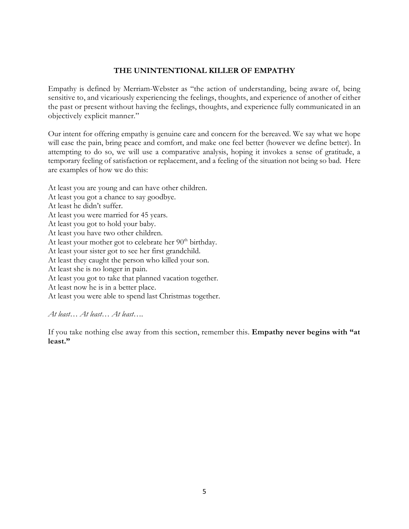#### **THE UNINTENTIONAL KILLER OF EMPATHY**

Empathy is defined by Merriam-Webster as "the action of understanding, being aware of, being sensitive to, and vicariously experiencing the feelings, thoughts, and experience of another of either the past or present without having the feelings, thoughts, and experience fully communicated in an objectively explicit manner."

Our intent for offering empathy is genuine care and concern for the bereaved. We say what we hope will ease the pain, bring peace and comfort, and make one feel better (however we define better). In attempting to do so, we will use a comparative analysis, hoping it invokes a sense of gratitude, a temporary feeling of satisfaction or replacement, and a feeling of the situation not being so bad. Here are examples of how we do this:

At least you are young and can have other children.

- At least you got a chance to say goodbye.
- At least he didn't suffer.
- At least you were married for 45 years.
- At least you got to hold your baby.
- At least you have two other children.
- At least your mother got to celebrate her  $90<sup>th</sup>$  birthday.
- At least your sister got to see her first grandchild.
- At least they caught the person who killed your son.
- At least she is no longer in pain.
- At least you got to take that planned vacation together.
- At least now he is in a better place.
- At least you were able to spend last Christmas together.

#### *At least… At least… At least….*

If you take nothing else away from this section, remember this. **Empathy never begins with "at least."**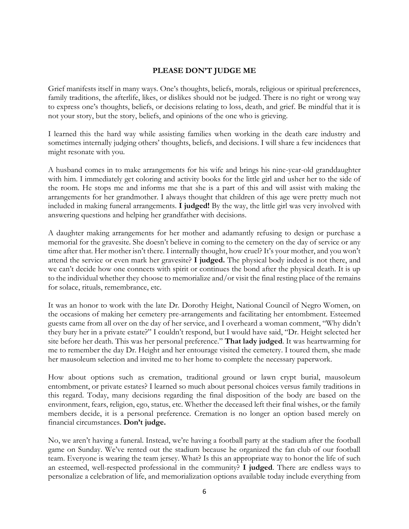#### **PLEASE DON'T JUDGE ME**

Grief manifests itself in many ways. One's thoughts, beliefs, morals, religious or spiritual preferences, family traditions, the afterlife, likes, or dislikes should not be judged. There is no right or wrong way to express one's thoughts, beliefs, or decisions relating to loss, death, and grief. Be mindful that it is not your story, but the story, beliefs, and opinions of the one who is grieving.

I learned this the hard way while assisting families when working in the death care industry and sometimes internally judging others' thoughts, beliefs, and decisions. I will share a few incidences that might resonate with you.

A husband comes in to make arrangements for his wife and brings his nine-year-old granddaughter with him. I immediately get coloring and activity books for the little girl and usher her to the side of the room. He stops me and informs me that she is a part of this and will assist with making the arrangements for her grandmother. I always thought that children of this age were pretty much not included in making funeral arrangements. **I judged!** By the way, the little girl was very involved with answering questions and helping her grandfather with decisions.

A daughter making arrangements for her mother and adamantly refusing to design or purchase a memorial for the gravesite. She doesn't believe in coming to the cemetery on the day of service or any time after that. Her mother isn't there. I internally thought, how cruel? It's your mother, and you won't attend the service or even mark her gravesite? **I judged.** The physical body indeed is not there, and we can't decide how one connects with spirit or continues the bond after the physical death. It is up to the individual whether they choose to memorialize and/or visit the final resting place of the remains for solace, rituals, remembrance, etc.

It was an honor to work with the late Dr. Dorothy Height, National Council of Negro Women, on the occasions of making her cemetery pre-arrangements and facilitating her entombment. Esteemed guests came from all over on the day of her service, and I overheard a woman comment, "Why didn't they bury her in a private estate?" I couldn't respond, but I would have said, "Dr. Height selected her site before her death. This was her personal preference." **That lady judged**. It was heartwarming for me to remember the day Dr. Height and her entourage visited the cemetery. I toured them, she made her mausoleum selection and invited me to her home to complete the necessary paperwork.

How about options such as cremation, traditional ground or lawn crypt burial, mausoleum entombment, or private estates? I learned so much about personal choices versus family traditions in this regard. Today, many decisions regarding the final disposition of the body are based on the environment, fears, religion, ego, status, etc. Whether the deceased left their final wishes, or the family members decide, it is a personal preference. Cremation is no longer an option based merely on financial circumstances. **Don't judge.**

No, we aren't having a funeral. Instead, we're having a football party at the stadium after the football game on Sunday. We've rented out the stadium because he organized the fan club of our football team. Everyone is wearing the team jersey. What? Is this an appropriate way to honor the life of such an esteemed, well-respected professional in the community? **I judged**. There are endless ways to personalize a celebration of life, and memorialization options available today include everything from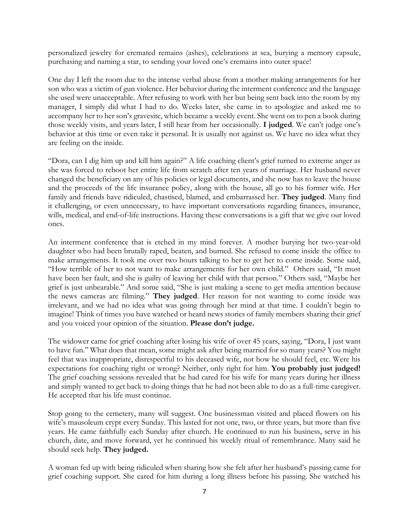personalized jewelry for cremated remains (ashes), celebrations at sea, burying a memory capsule, purchasing and naming a star, to sending your loved one's cremains into outer space!

One day I left the room due to the intense verbal abuse from a mother making arrangements for her son who was a victim of gun violence. Her behavior during the interment conference and the language she used were unacceptable. After refusing to work with her but being sent back into the room by my manager, I simply did what I had to do. Weeks later, she came in to apologize and asked me to accompany her to her son's gravesite, which became a weekly event. She went on to pen a book during those weekly visits, and years later, I still hear from her occasionally. **I judged**. We can't judge one's behavior at this time or even take it personal. It is usually not against us. We have no idea what they are feeling on the inside.

"Dora, can I dig him up and kill him again?" A life coaching client's grief turned to extreme anger as she was forced to reboot her entire life from scratch after ten years of marriage. Her husband never changed the beneficiary on any of his policies or legal documents, and she now has to leave the house and the proceeds of the life insurance policy, along with the house, all go to his former wife. Her family and friends have ridiculed, chastised, blamed, and embarrassed her. **They judged**. Many find it challenging, or even unnecessary, to have important conversations regarding finances, insurance, wills, medical, and end-of-life instructions. Having these conversations is a gift that we give our loved ones.

An interment conference that is etched in my mind forever. A mother burying her two-year-old daughter who had been brutally raped, beaten, and burned. She refused to come inside the office to make arrangements. It took me over two hours talking to her to get her to come inside. Some said, "How terrible of her to not want to make arrangements for her own child." Others said, "It must have been her fault, and she is guilty of leaving her child with that person." Others said, "Maybe her grief is just unbearable." And some said, "She is just making a scene to get media attention because the news cameras are filming." **They judged**. Her reason for not wanting to come inside was irrelevant, and we had no idea what was going through her mind at that time. I couldn't begin to imagine! Think of times you have watched or heard news stories of family members sharing their grief and you voiced your opinion of the situation. **Please don't judge.**

The widower came for grief coaching after losing his wife of over 45 years, saying, "Dora, I just want to have fun." What does that mean, some might ask after being married for so many years? You might feel that was inappropriate, disrespectful to his deceased wife, not how he should feel, etc. Were his expectations for coaching right or wrong? Neither, only right for him. **You probably just judged!** The grief coaching sessions revealed that he had cared for his wife for many years during her illness and simply wanted to get back to doing things that he had not been able to do as a full-time caregiver. He accepted that his life must continue.

Stop going to the cemetery, many will suggest. One businessman visited and placed flowers on his wife's mausoleum crypt every Sunday. This lasted for not one, two, or three years, but more than five years. He came faithfully each Sunday after church. He continued to run his business, serve in his church, date, and move forward, yet he continued his weekly ritual of remembrance. Many said he should seek help. **They judged.**

A woman fed up with being ridiculed when sharing how she felt after her husband's passing came for grief coaching support. She cared for him during a long illness before his passing. She watched his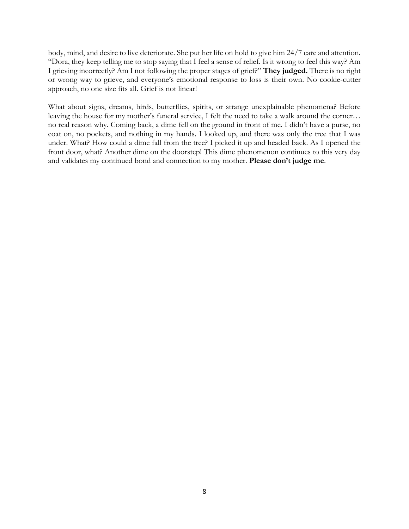body, mind, and desire to live deteriorate. She put her life on hold to give him 24/7 care and attention. "Dora, they keep telling me to stop saying that I feel a sense of relief. Is it wrong to feel this way? Am I grieving incorrectly? Am I not following the proper stages of grief?" **They judged.** There is no right or wrong way to grieve, and everyone's emotional response to loss is their own. No cookie-cutter approach, no one size fits all. Grief is not linear!

What about signs, dreams, birds, butterflies, spirits, or strange unexplainable phenomena? Before leaving the house for my mother's funeral service, I felt the need to take a walk around the corner… no real reason why. Coming back, a dime fell on the ground in front of me. I didn't have a purse, no coat on, no pockets, and nothing in my hands. I looked up, and there was only the tree that I was under. What? How could a dime fall from the tree? I picked it up and headed back. As I opened the front door, what? Another dime on the doorstep! This dime phenomenon continues to this very day and validates my continued bond and connection to my mother. **Please don't judge me**.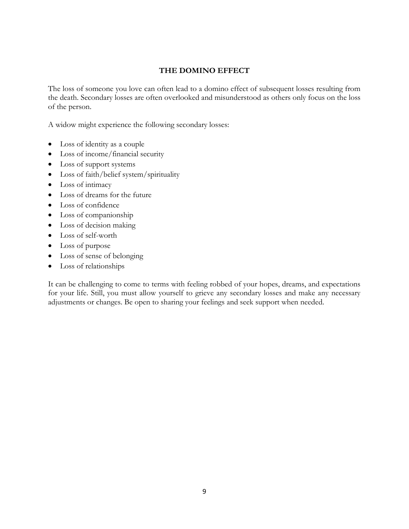#### **THE DOMINO EFFECT**

The loss of someone you love can often lead to a domino effect of subsequent losses resulting from the death. Secondary losses are often overlooked and misunderstood as others only focus on the loss of the person.

A widow might experience the following secondary losses:

- Loss of identity as a couple
- Loss of income/financial security
- Loss of support systems
- Loss of faith/belief system/spirituality
- Loss of intimacy
- Loss of dreams for the future
- Loss of confidence
- Loss of companionship
- Loss of decision making
- Loss of self-worth
- Loss of purpose
- Loss of sense of belonging
- Loss of relationships

It can be challenging to come to terms with feeling robbed of your hopes, dreams, and expectations for your life. Still, you must allow yourself to grieve any secondary losses and make any necessary adjustments or changes. Be open to sharing your feelings and seek support when needed.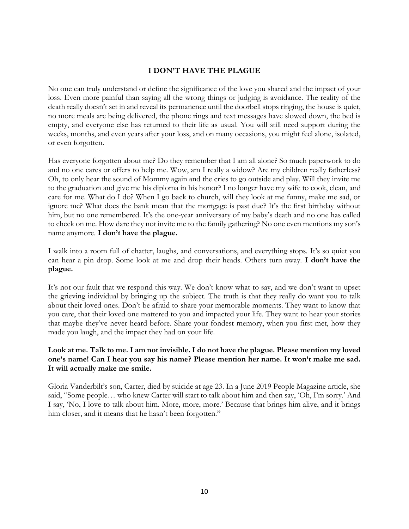#### **I DON'T HAVE THE PLAGUE**

No one can truly understand or define the significance of the love you shared and the impact of your loss. Even more painful than saying all the wrong things or judging is avoidance. The reality of the death really doesn't set in and reveal its permanence until the doorbell stops ringing, the house is quiet, no more meals are being delivered, the phone rings and text messages have slowed down, the bed is empty, and everyone else has returned to their life as usual. You will still need support during the weeks, months, and even years after your loss, and on many occasions, you might feel alone, isolated, or even forgotten.

Has everyone forgotten about me? Do they remember that I am all alone? So much paperwork to do and no one cares or offers to help me. Wow, am I really a widow? Are my children really fatherless? Oh, to only hear the sound of Mommy again and the cries to go outside and play. Will they invite me to the graduation and give me his diploma in his honor? I no longer have my wife to cook, clean, and care for me. What do I do? When I go back to church, will they look at me funny, make me sad, or ignore me? What does the bank mean that the mortgage is past due? It's the first birthday without him, but no one remembered. It's the one-year anniversary of my baby's death and no one has called to check on me. How dare they not invite me to the family gathering? No one even mentions my son's name anymore. **I don't have the plague.**

I walk into a room full of chatter, laughs, and conversations, and everything stops. It's so quiet you can hear a pin drop. Some look at me and drop their heads. Others turn away. **I don't have the plague.**

It's not our fault that we respond this way. We don't know what to say, and we don't want to upset the grieving individual by bringing up the subject. The truth is that they really do want you to talk about their loved ones. Don't be afraid to share your memorable moments. They want to know that you care, that their loved one mattered to you and impacted your life. They want to hear your stories that maybe they've never heard before. Share your fondest memory, when you first met, how they made you laugh, and the impact they had on your life.

#### **Look at me. Talk to me. I am not invisible. I do not have the plague. Please mention my loved one's name! Can I hear you say his name? Please mention her name. It won't make me sad. It will actually make me smile.**

Gloria Vanderbilt's son, Carter, died by suicide at age 23. In a June 2019 People Magazine article, she said, "Some people… who knew Carter will start to talk about him and then say, 'Oh, I'm sorry.' And I say, 'No, I love to talk about him. More, more, more.' Because that brings him alive, and it brings him closer, and it means that he hasn't been forgotten."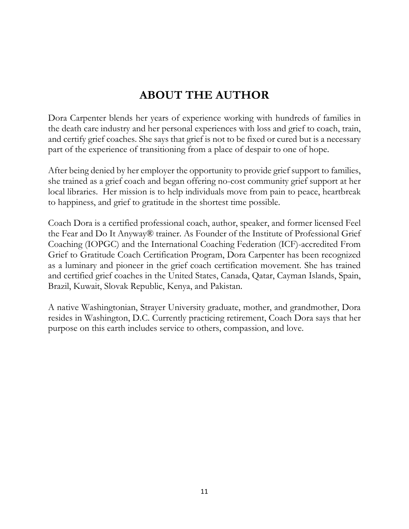## **ABOUT THE AUTHOR**

Dora Carpenter blends her years of experience working with hundreds of families in the death care industry and her personal experiences with loss and grief to coach, train, and certify grief coaches. She says that grief is not to be fixed or cured but is a necessary part of the experience of transitioning from a place of despair to one of hope.

After being denied by her employer the opportunity to provide grief support to families, she trained as a grief coach and began offering no-cost community grief support at her local libraries. Her mission is to help individuals move from pain to peace, heartbreak to happiness, and grief to gratitude in the shortest time possible.

Coach Dora is a certified professional coach, author, speaker, and former licensed Feel the Fear and Do It Anyway® trainer. As Founder of the Institute of Professional Grief Coaching (IOPGC) and the International Coaching Federation (ICF)-accredited From Grief to Gratitude Coach Certification Program, Dora Carpenter has been recognized as a luminary and pioneer in the grief coach certification movement. She has trained and certified grief coaches in the United States, Canada, Qatar, Cayman Islands, Spain, Brazil, Kuwait, Slovak Republic, Kenya, and Pakistan.

A native Washingtonian, Strayer University graduate, mother, and grandmother, Dora resides in Washington, D.C. Currently practicing retirement, Coach Dora says that her purpose on this earth includes service to others, compassion, and love.